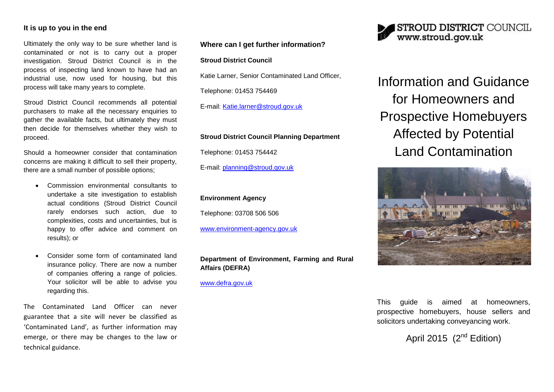# **It is up to you in the end**

Ultimately the only way to be sure whether land is contaminated or not is to carry out a proper investigation. Stroud District Council is in the process of inspecting land known to have had an industrial use, now used for housing, but this process will take many years to complete.

Stroud District Council recommends all potential purchasers to make all the necessary enquiries to gather the available facts, but ultimately they must then decide for themselves whether they wish to proceed.

Should a homeowner consider that contamination concerns are making it difficult to sell their property, there are a small number of possible options;

- Commission environmental consultants to undertake a site investigation to establish actual conditions (Stroud District Council rarely endorses such action, due to complexities, costs and uncertainties, but is happy to offer advice and comment on results); or
- Consider some form of contaminated land insurance policy. There are now a number of companies offering a range of policies. Your solicitor will be able to advise you regarding this.

The Contaminated Land Officer can never guarantee that a site will never be classified as 'Contaminated Land', as further information may emerge, or there may be changes to the law or technical guidance.

### **Where can I get further information?**

#### **Stroud District Council**

Katie Larner, Senior Contaminated Land Officer,

Telephone: 01453 754469

E-mail: [Katie.larner@stroud.gov.uk](mailto:Katie.larner@stroud.gov.uk)

#### **Stroud District Council Planning Department**

Telephone: 01453 754442

E-mail: [planning@stroud.gov.uk](mailto:planning@stroud.gov.uk)

# **Environment Agency**

Telephone: 03708 506 506

[www.environment-agency.gov.uk](http://www.environment-agency.gov.uk/)

# **Department of Environment, Farming and Rural Affairs (DEFRA)**

[www.defra.gov.uk](http://www.defra.gov.uk/)



Information and Guidance for Homeowners and Prospective Homebuyers Affected by Potential Land Contamination



This guide is aimed at homeowners, prospective homebuyers, house sellers and solicitors undertaking conveyancing work.

April 2015  $(2^{nd}$  Edition)